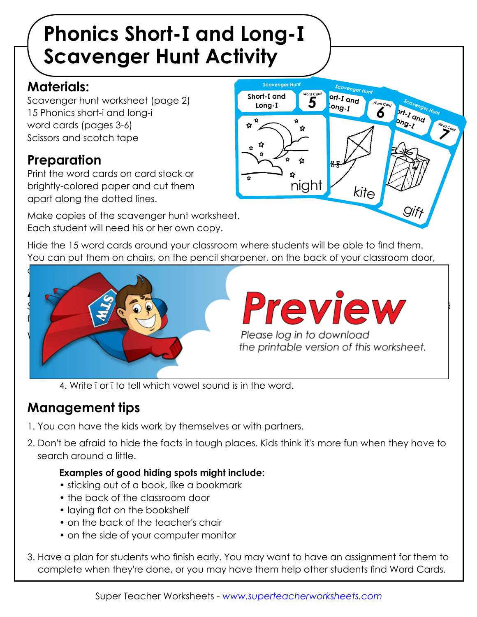# **Phonics Short-I and Long-I Scavenger Hunt Activity**

### **Materials:**

Scavenger hunt worksheet (page 2) 15 Phonics short-i and long-i word cards (pages 3-6) Scissors and scotch tape

## **Preparation**

Print the word cards on card stock or brightly-colored paper and cut them apart along the dotted lines.

Make copies of the scavenger hunt worksheet. Each student will need his or her own copy.

Hide the 15 word cards around your classroom where students will be able to find them. You can put them on chairs, on the pencil sharpener, on the back of your classroom door,





*Word Card 7*

*Scavenger Hunt*

**Short-I and Long-I**

*Word Card 6*

*Scavenger Hunt*

**ort-I and Long-I**

*Word Card 5*

night

*Scavenger Hunt*

**Short-I and Long-I**

kite

gift

4. Write ĭ or ī to tell which vowel sound is in the word.

## **Management tips**

- 1. You can have the kids work by themselves or with partners.
- 2. Don't be afraid to hide the facts in tough places. Kids think it's more fun when they have to search around a little.

#### **Examples of good hiding spots might include:**

- sticking out of a book, like a bookmark
- the back of the classroom door
- laying flat on the bookshelf
- on the back of the teacher's chair
- on the side of your computer monitor
- 3. Have a plan for students who finish early. You may want to have an assignment for them to complete when they're done, or you may have them help other students find Word Cards.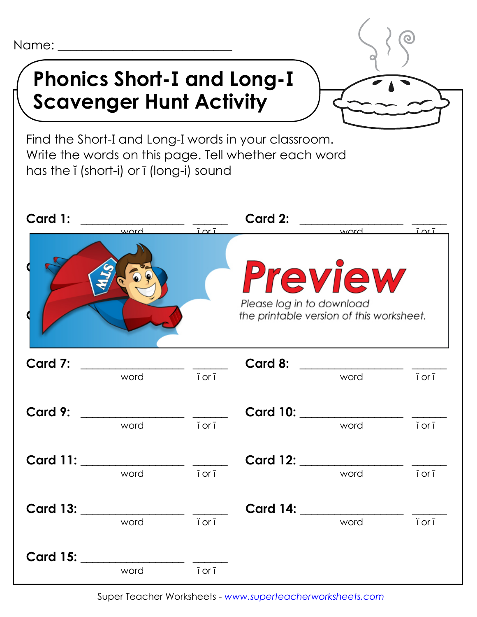Name: \_\_\_\_\_\_\_\_\_\_\_\_\_\_\_\_\_\_\_\_\_\_\_\_\_\_\_\_

# **Phonics Short-I and Long-I Scavenger Hunt Activity**

Find the Short-I and Long-I words in your classroom. Write the words on this page. Tell whether each word has the ĭ (short-i) or ī (long-i) sound

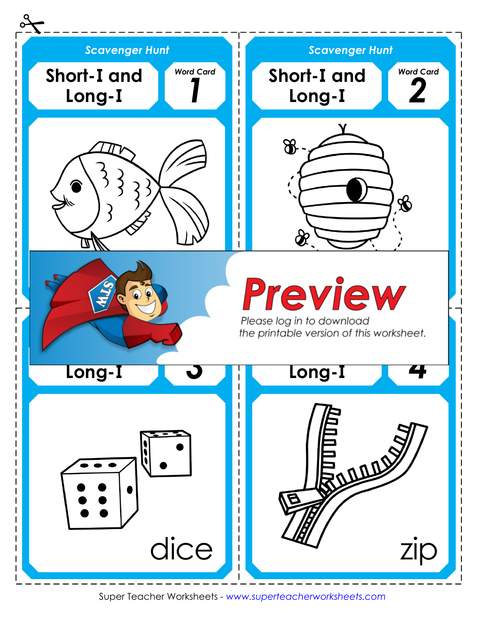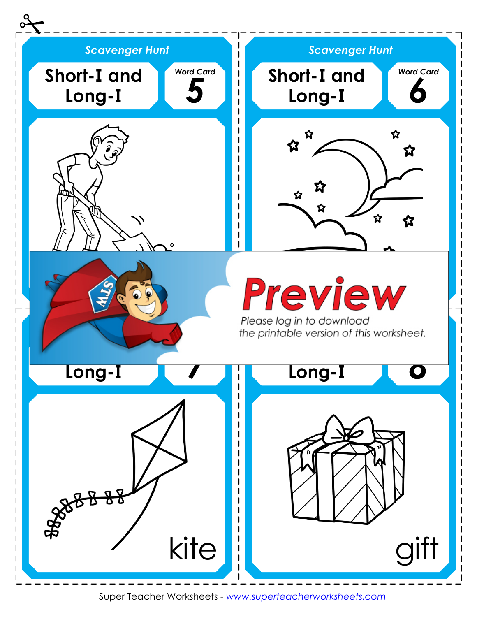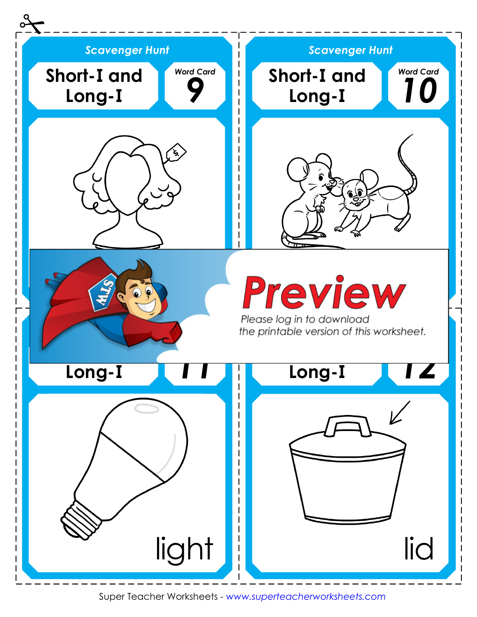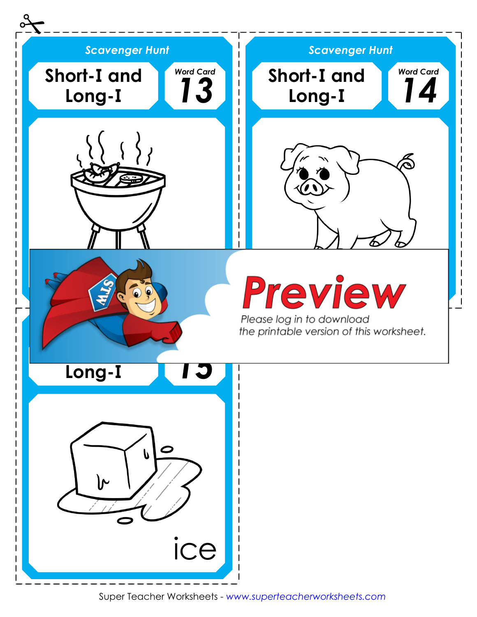